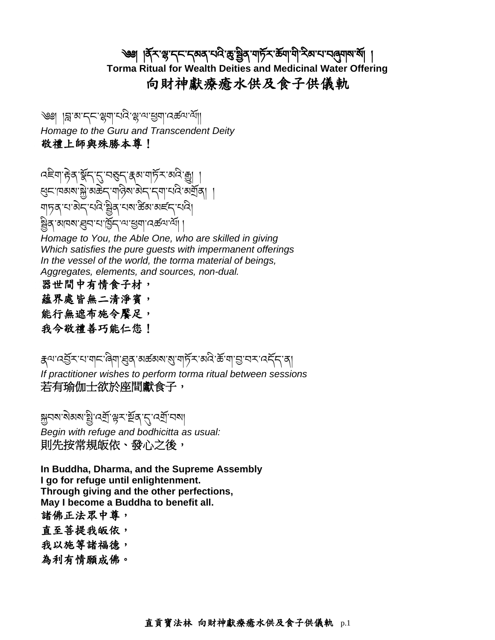# ্ঞা |র্ব্র্ম'প্লু'ন্ন'ন্নেম্ব'থ্রি'ক্সুখ্রিব'নার্দ্রম'র্মাণী'শ্রিম'থ'ন্নেনাম'র্মা **Torma Ritual for Wealth Deities and Medicinal Water Offering** 向財神獻療癒水供及食子供儀軌

্জা ।ଞ্ল'ঝ'ন্ন'খ্ল্মা'থ্ব'খ্ল'ঝ'খ্ৰুনা'বৰ্জ্ঞাশ্মা *Homage to the Guru and Transcendent Deity* 敬禮上師與殊勝本尊!

ক্ষিত্ৰা দ্বিৰ শ্লীন ব্ৰেছন ক্ষেত্ৰ বিদ্যালয়ৰ ক্ষেত্ৰ <u>ধ্</u>মোষময়ে মার্ক্সবারী অভিনেতা নিমান্ত করি। াষারী স্মৃতি বিদ্যালয় বিদ্যা াঝাৰমাৰ্ল্লনানাট্ৰিনামাস্ত্ৰান্ত্ৰী

*Homage to You, the Able One, who are skilled in giving Which satisfies the pure guests with impermanent offerings In the vessel of the world, the torma material of beings, Aggregates, elements, and sources, non-dual.*

- 器世間中有情食子材,
- 蘊界處皆無二清淨賓,
- 能行無遮布施令饜足,
- 我今敬禮善巧能仁您!

क्ष्य'दञ्जॅर'ध'ग|द्ग'बे्गा'ह्युद्ग'अर्क्ष्यश'शु'ग|र्फे्र'अदि'र्क्ष'ग|ञ्जु'चर'दर्दैद'द *If practitioner wishes to perform torma ritual between sessions* 若有瑜伽士欲於座間獻食子,

ক্সবম'মীৰম'ষ্ট্ৰ'বেৰ্শ্ৰ'ঞ্জুৰ'ম'বেৰ্শ্ৰ'বমা *Begin with refuge and bodhicitta as usual:* 則先按常規皈依、發心之後,

**In Buddha, Dharma, and the Supreme Assembly I go for refuge until enlightenment. Through giving and the other perfections, May I become a Buddha to benefit all.** 諸佛正法眾中尊, 直至菩提我皈依,

- 我以施等諸福德,
- 為利有情願成佛。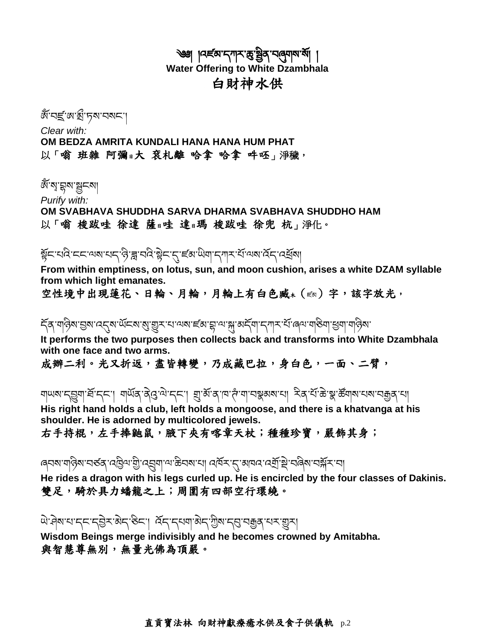#### ্ঞা । নৰ্হম'ন্সম'ক্তু'ষ্ট্ৰব'নৰ্মৰাম'ৰ্মা **Water Offering to White Dzambhala** 白財神水供

জ্যেন্দ্ৰ্জ্যৰ্জ্য দৰু বিদ্যালয়

*Clear with:* **OM BEDZA AMRITA KUNDALI HANA HANA HUM PHAT** 以「嗡 班雜 阿彌日大 袞札離 哈拿 哈拿 吽呸」淨穢,

জ্যেন্দ্ৰুৱান্ন্ৰ বি

*Purify with:*

**OM SVABHAVA SHUDDHA SARVA DHARMA SVABHAVA SHUDDHO HAM** 以「嗡 梭跋哇 徐達 薩日哇 達日瑪 梭跋哇 徐兜 杭」淨化。

ষ্ট্ৰহাথবিাহহাঅমাথহারীস্ত্রাথবিষ্ট্ৰহারাজ্ঞীয়াব্দিমাধার্থিকা।

**From within emptiness, on lotus, sun, and moon cushion, arises a white DZAM syllable from which light emanates.**

空性境中出現蓮花、日輪、月輪,月輪上有白色臧\*( $\epsilon$ ब्ब)字,該字放光,

র্হর অন্তিম ভ্রম নেন্দ্র অঁনম ম্যু য়ুস নে অমার্চম ক্লান্স মর্দ্র অর্দ্রশ নৃশ সাঁও বিশেষ বিশা বার্তিমা

**It performs the two purposes then collects back and transforms into White Dzambhala with one face and two arms.**

成辦二利。光又折返,盡皆轉變,乃成藏巴拉,身白色,一面、二臂,

ঘাঅম'ন্ড্রুনার্শ্র'ন্ন'। নার্অব'ব্রত্ত'ন্ম'ন্ন' ব্রার্শ্র'ন'দ'দা'নস্কুরম্ম'না। ইব'র্ম'ক্ত'ষ্কুর্জনাম'ন্যম'নক্কুর'না **His right hand holds a club, left holds a mongoose, and there is a khatvanga at his shoulder. He is adorned by multicolored jewels.**

右手持棍,左手捧鼬鼠,腋下夾有喀章天杖;種種珍寶,嚴飾其身;

ৰ্বমম'শন্তিম'নৰ্ডব্'ব্ট্ৰেম'শ্ৰ্ৰী'ব্যৰ্শা'ম'স্কীনম'না বৰ্মিম'ন্'মান্ব'ৰ্মা'ষ্ট্ৰ'নৰিম'নৰ্ম্মম'না

**He rides a dragon with his legs curled up. He is encircled by the four classes of Dakinis.** 雙足,騎於具力蟠龍之上;周圍有四部空行環繞。

षे'मेबादाद्दद्देत्रकेद'बेद'हेटा। स्ट्रीदाबाओद'ग्रेबाद्द्यवक्रुवायराञ्जूरा

**Wisdom Beings merge indivisibly and he becomes crowned by Amitabha.** 與智慧尊無別,無量光佛為頂嚴。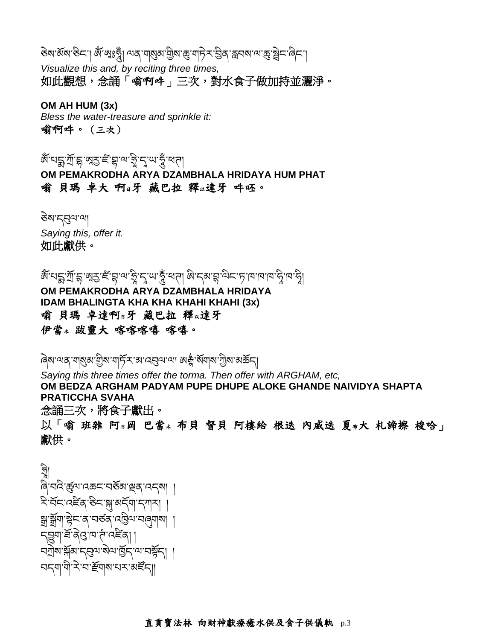डेबाअॅबाङेटा। अॅ छाऽन्नुँ। अब पायुबाग्रेबाङ्गानिराञ्चित् स्वयबायाङ्गञ्चेदावेदा *Visualize this and, by reciting three times,* 如此觀想,念誦「嗡啊吽」三次,對水食子做加持並灑淨。

**OM AH HUM (3x)** *Bless the water-treasure and sprinkle it:* 嗡啊吽。(三次)

ཨ ོཾ་པདྨ་ཀོ་དྷ་ཨཱརྱ་ཛཾ་བྷ་ལ་ཧ ི ་དཱ་ཡ་ཧཱུྃ་ཕཊ། **OM PEMAKRODHA ARYA DZAMBHALA HRIDAYA HUM PHAT** 嗡 貝瑪 卓大 啊日牙 藏巴拉 釋以達牙 吽呸。

ཅྟེས་དབུལ་ལ། *Saying this, offer it.* 如此獻供。

َّهِ خَارِكُمْ الْمَاسَاتِ الْعَالِمِينَ مِنْ مِنْ مِنْ مَارْتَ بِهِ مِنْ مَارْتَ بِهِ مَارَةٍ مِنْ مَارَةٍ مِن<br>فَاسْتَ بِعَارِكِي الْمَارَةِ الْمَارَةِ الْمَارَةِ الْمَارَةِ وَالْمَارَةِ الْمَارَةِ وَالْمَارَةِ وَالْمَا **OM PEMAKRODHA ARYA DZAMBHALA HRIDAYA IDAM BHALINGTA KHA KHA KHAHI KHAHI (3x)** 嗡 貝瑪 卓達啊日牙 藏巴拉 釋以達牙 伊當<sup>木</sup> 跋靈大 喀喀喀嘻 喀嘻。

ৰিষ'শ্ব শন্ত্ৰ্য শ্ৰীষ'শৰ্চিু সম'ন্বৰশ'শ্য অক্সুঁ ৰ্ষশাৰ'শ্ৰীষ'মৰ্জন্

*Saying this three times offer the torma. Then offer with ARGHAM, etc,* **OM BEDZA ARGHAM PADYAM PUPE DHUPE ALOKE GHANDE NAIVIDYA SHAPTA PRATICCHA SVAHA** 念誦三次,將食子獻出。

以「嗡 班雜 阿日岡 巴當\* 布貝 督貝 阿樓給 根迭 内威迭 夏\*大 札諦擦 梭哈」 獻供。

$$
\begin{aligned}\n &\frac{1}{2} \left\{ \left[ \frac{1}{2} \right]^{2} \left[ \frac{1}{2} \left[ \frac{1}{2} \right]^{2} \left[ \frac{1}{2} \right]^{2} \left[ \frac{1}{2} \right]^{2} \left[ \frac{1}{2} \left[ \frac{1}{2} \right]^{2} \left[ \frac{1}{2} \right]^{2} \left[ \frac{1}{2} \left[ \frac{1}{2} \right]^{2} \left[ \frac{1}{2} \right]^{2} \left[ \frac{1}{2} \left[ \frac{1}{2} \right]^{2} \left[ \frac{1}{2} \right]^{2} \left[ \frac{1}{2} \left[ \frac{1}{2} \right]^{2} \left[ \frac{1}{2} \right]^{2} \left[ \frac{1}{2} \left[ \frac{1}{2} \right]^{2} \left[ \frac{1}{2} \right]^{2} \left[ \frac{1}{2} \left[ \frac{1}{2} \right]^{2} \left[ \frac{1}{2} \right]^{2} \left[ \frac{1}{2} \left[ \frac{1}{2} \right]^{2} \left[ \frac{1}{2} \right]^{2} \left[ \frac{1}{2} \left[ \frac{1}{2} \right]^{2} \left[ \frac{1}{2} \right]^{2} \left[ \frac{1}{2} \left[ \frac{1}{2} \right]^{2} \left[ \frac{1}{2} \right]^{2} \left[ \frac{1}{2} \left[ \frac{1}{2} \right]^{2} \left[ \frac{1}{2} \right]^{2} \left[ \frac{1}{2} \left[ \frac{1}{2} \right]^{2} \left[ \frac{1}{2} \right]^{2} \left[ \frac{1}{2} \left[ \frac{1}{2} \right]^{2} \left[ \frac{1}{2} \left[ \frac{1}{2} \right]^{2} \left[ \frac{1}{2} \right]^{2} \left[ \frac{1}{2} \left[ \frac{1}{2} \right]^{2} \left[ \frac{1}{2} \left[ \frac{1}{2} \right]^{2} \left[ \frac{1}{2} \right]^{2} \left[ \frac{1}{2} \left[ \frac{1}{2} \right]^{2} \left[ \frac{1}{2} \left[ \frac{1}{2} \right]^{2} \left[ \frac{1}{2} \left[ \frac{1}{
$$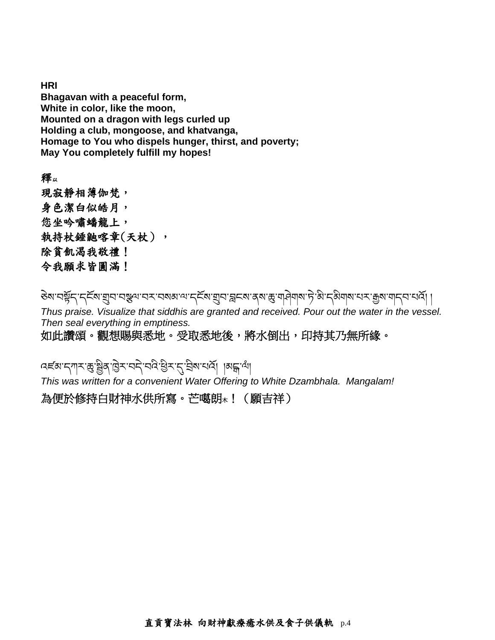**HRI Bhagavan with a peaceful form, White in color, like the moon, Mounted on a dragon with legs curled up Holding a club, mongoose, and khatvanga, Homage to You who dispels hunger, thirst, and poverty; May You completely fulfill my hopes!**

釋<sup>以</sup> 現寂靜相薄伽梵, 身色潔白似皓月, 您坐吟嘯蟠龍上, 執持杖錘鼬喀章(天杖), 除貧飢渴我敬禮! 令我願求皆圓滿!

डेबन्द्र्भ्द्रद्भ्द्भ्याप्रद्भ्याप्रद्भ्याप्रद्भ्याप्रद्भ्याप्रद्भ्याद्भ्याद्भ्याद्भ्यभुगद्भ्याप्रद्भ्याप्रद्भ

*Thus praise. Visualize that siddhis are granted and received. Pour out the water in the vessel. Then seal everything in emptiness.*

如此讚頌。觀想賜與悉地。受取悉地後,將水倒出,印持其乃無所緣。

ক্ষেত্ৰীৰ জ্ঞান কৰি বিভিন্ন বিদ্যালয়ৰ বিভিন্ন প্ৰা

*This was written for a convenient Water Offering to White Dzambhala. Mangalam!*

為便於修持白財神水供所寫。芒噶朗木!(願吉祥)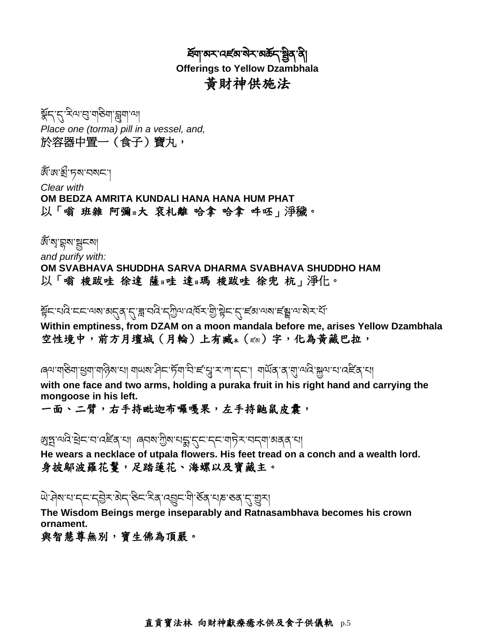হিঁমাজসম্বেদ্ৰ্জিষ্ম জীব্ৰি **Offerings to Yellow Dzambhala** 黃財神供施法

ইন'ন' মণ্ড' মাণ্ডিমা' ন্ল্ৰমা' না *Place one (torma) pill in a vessel, and,* 於容器中置一(食子)寶丸,

জঁজ'ৰ্গ্ৰ'দৰা বৰ্ষ

*Clear with* **OM BEDZA AMRITA KUNDALI HANA HANA HUM PHAT** 以「嗡 班雜 阿彌日大 袞札離 哈拿 哈拿 吽呸」淨穢。

জ্যেত্মৰাষ্ট্ৰন *and purify with:*

**OM SVABHAVA SHUDDHA SARVA DHARMA SVABHAVA SHUDDHO HAM** 以「嗡 梭跋哇 徐達 薩日哇 達日瑪 梭跋哇 徐兜 杭」淨化。

ষ্ট্ৰনাথবিাননাথমাৰ্দ্ব,দ্বান্ত্ৰীৰাৰ্দ্মীৰাৰ্দ্মীৰ্দ্বান্ত্ৰীৰ্দ্বান্ত্ৰীৰ দ্বাৰ্থ কৰা বিদ্যালয়ৰ

**Within emptiness, from DZAM on a moon mandala before me, arises Yellow Dzambhala** 空性境中,前方月壇城(月輪)上有臧木( $\epsilon \bar{\alpha}$ )字,化為黃藏巴拉,

ৰেশ নাৰ্ভনা হ্ৰূনা নাৰ্ভিৰ না নামৰ বিনক্ষিত্ৰ দুৰা নাৰ নাৰে নাৰ্ভিৰ বিনিৰ্বাদ নাৰ দুৰা নাৰি বিনিৰ্বা

**with one face and two arms, holding a puraka fruit in his right hand and carrying the mongoose in his left.**

一面、二臂,右手持毗迦布囉嘎果,左手持鼬鼠皮囊,

গ্রেচ্ন'অ'ন্স'ইান'ন'নেই'ব্র'মা । ৰ্বেম'শ্রীম'মহ্ক'্র্ন'নে'মাট্সি''অন্মা'অব্রু'মা

**He wears a necklace of utpala flowers. His feet tread on a conch and a wealth lord.** 身披鄔波羅花鬘,足踏蓮花、海螺以及寶藏主。

ཡྟེ་ཤྟེས་པ་དང་དབྟེར་མྟེད་ཅིང་རིན་འབྱུང་གི་ཅོན་པཎ་ཅན་དུ་གྱུར།

**The Wisdom Beings merge inseparably and Ratnasambhava becomes his crown ornament.**

與智慧尊無別,寶生佛為頂嚴。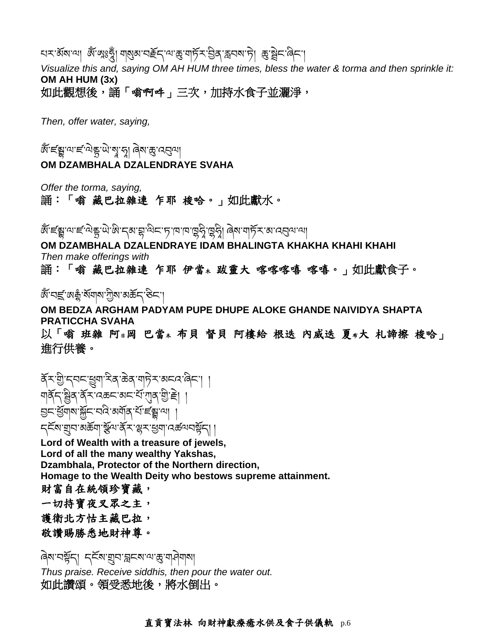# ঘমার্সমানা জ্ঞান্মঃসুঁ। নার্যমানার্ছনানাক্তানার্দিমান্ত্রী স্নার্মাদী জ্ঞান্থীনারিনা

*Visualize this and, saying OM AH HUM three times, bless the water & torma and then sprinkle it:* **OM AH HUM (3x)** 如此觀想後,誦「喻啊吽」三次,加持水食子並灑淨,

*Then, offer water, saying,*

ै।<br>बाह्य बाह्य करने के बाह्य के बाह्य अर्था<br>पुरुष **OM DZAMBHALA DZALENDRAYE SVAHA**

*Offer the torma, saying,*

誦:「嗡 藏巴拉雜連 乍耶 梭哈。」如此獻水。

ैूं ह्रूं बाह्य हैं, बुद्धा कर के स्वास्था के लगा के लगा के स्वास्था के लगा के स्वास्था के लगा के लगा की के लग

**OM DZAMBHALA DZALENDRAYE IDAM BHALINGTA KHAKHA KHAHI KHAHI** *Then make offerings with* 誦:「嗡 藏巴拉雜連 乍耶 伊當<sup>木</sup> 跋靈大 喀喀喀嘻 喀嘻。」如此獻食子。

জ্য প্ৰহ্লাজ ক্ষুণ্ট্ৰ জন্ম জন্ম বৰ্তমা

**OM BEDZA ARGHAM PADYAM PUPE DHUPE ALOKE GHANDE NAIVIDYA SHAPTA PRATICCHA SVAHA**

以「嗡 班雜 阿日岡 巴當\* 布貝 督貝 阿樓給 根迭 内威迭 夏\*大 札諦擦 梭哈」 進行供養。

ቖ<sup>ॕ</sup>≺ॆॱय़ऀज़ॾॱख़ॷॺॱॶॷॱख़ॷढ़ॱॺऻऄॶॷॾॱॴ ঘার্ষ্ট্রান্ট্র্স্ট্রার্ডিমার্ডের্স্ট্রান্ট্রার্ডির ড়৸ৼয়ঢ়৸য়৸ৼ৸ড়৸৸ *८*ॅट्या यांचा अर्क्ष्या क्ष्रिया क्षेत्रा स्थित पुत्र राष्ट्रपा । यक्ष्य पश्चिम् ।

**Lord of Wealth with a treasure of jewels, Lord of all the many wealthy Yakshas, Dzambhala, Protector of the Northern direction, Homage to the Wealth Deity who bestows supreme attainment.** 財富自在統領珍寶藏, 一切持寶夜叉眾之主, 護衛北方怙主藏巴拉, 敬讚賜勝悉地財神尊。

ৰিম'নৰ্ষ্ণন্| দ্ৰ্হম'য়ুন'ব্লুনম'ন্ম'ক্তু'নাদীনামা *Thus praise. Receive siddhis, then pour the water out.* 如此讚頌。領受悉地後,將水倒出。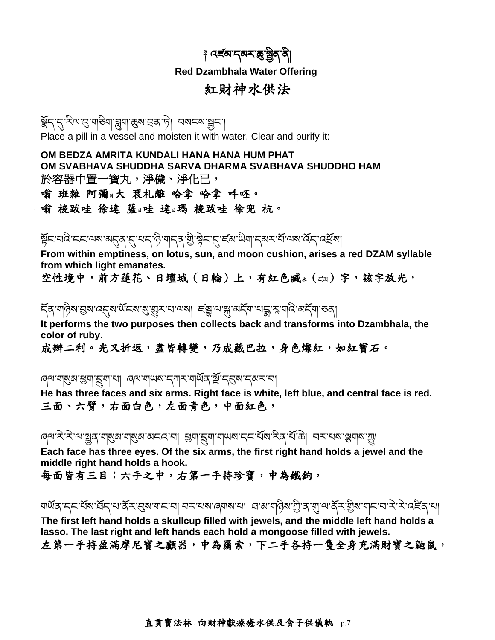# ় নৰ্হৰাব্মকান্তুষ্ট্ৰিব'ৰী **Red Dzambhala Water Offering** 紅財神水供法

ইন্'ন্'<sup>ইমে'</sup>ন্ড'নাউনা'ন্ল্ৰ্না'ঙ্কুম'হ্ৰৰ্'চ়। নমন্ম'শ্লুন'। Place a pill in a vessel and moisten it with water. Clear and purify it:

**OM BEDZA AMRITA KUNDALI HANA HANA HUM PHAT OM SVABHAVA SHUDDHA SARVA DHARMA SVABHAVA SHUDDHO HAM** 於容器中置一寶丸,淨穢、淨化已, 嗡 班雜 阿彌日大 袞札離 哈拿 哈拿 吽呸。 嗡 梭跋哇 徐達 薩日哇 達日瑪 梭跋哇 徐兜 杭。

ষ্ট্ৰনম্বিংননঅম্বন্দ্ৰ্ৰ্,নুম্নৰ্'ন্ত্ৰ'শান্ত্ৰ'ষ্ট্ৰ'ষ্ট্ৰন'ন্'ৰ্ছেম'থিশা'ন্ঝন'ৰ্য্'অম'ৰ্বন্'ৰ্ষ্ৰ্ৰ্ৰমা

**From within emptiness, on lotus, sun, and moon cushion, arises a red DZAM syllable from which light emanates.**

空性境中,前方蓮花、日壇城(日輪)上,有紅色臧\*( $\epsilon$ མ)字,該字放光,

২্ৰে'ণবিত্ম'হ্ৰম'ন্ত্ৰে'ৰ্অন্ম'ন্ত্ৰুম'ন'ন্দ্ৰা নৰ্ভ্সি'ন'ৰ্মু'ৰ্ম্বশ্বান্দ্ৰু, স্ক'ন্মবি'ৰ্ম্বন্ম'তৰ্|

**It performs the two purposes then collects back and transforms into Dzambhala, the color of ruby.**

成辦二利。光又折返,盡皆轉變,乃成藏巴拉,身色燦紅,如紅寶石。

ৰেশ'মাম্ভ্ৰম'শ্ৰুম''হ্ৰম'মা ৰেশ'মাঅম''হ্লাম'মাৰ্অৰ'ৰ্স্থ''হ্ৰম''হ্ৰম''হা

**He has three faces and six arms. Right face is white, left blue, and central face is red.** 三面、六臂,右面白色,左面青色,中面紅色,

ৰ্শে`২`২`শে`ষ্ট্ৰৰ্\'শৰ্ম্মৰ্শনাৰ্ম্মৰ্শ অননে'না ধ্ৰুণ'ৰ্মুশ'শামৰ্শনে' ইৰে' ইৰ' শৈক্টা নম'নেৰ'স্ত্ৰেশৰ'য়ূ

**Each face has three eyes. Of the six arms, the first right hand holds a jewel and the middle right hand holds a hook.**

每面皆有三目;六手之中,右第一手持珍寶,中為鐵鉤,

ঘার্অর্'ন্নেইঁমে'র্শ্রন্'থ'র্ক্রম'য়েন'বা ব্যম'ঝে'ৰে্নাম'থা ৰ'ম'নান্তিম'শ্রী'ৰ'্মা'ঞ'র্ক্রম'ন্মান'ব'স্ব'ন্নেইর'থা

**The first left hand holds a skullcup filled with jewels, and the middle left hand holds a lasso. The last right and left hands each hold a mongoose filled with jewels.** 左第一手持盈滿摩尼寶之顱器,中為羂索,下二手各持一隻全身充滿財寶之鼬鼠,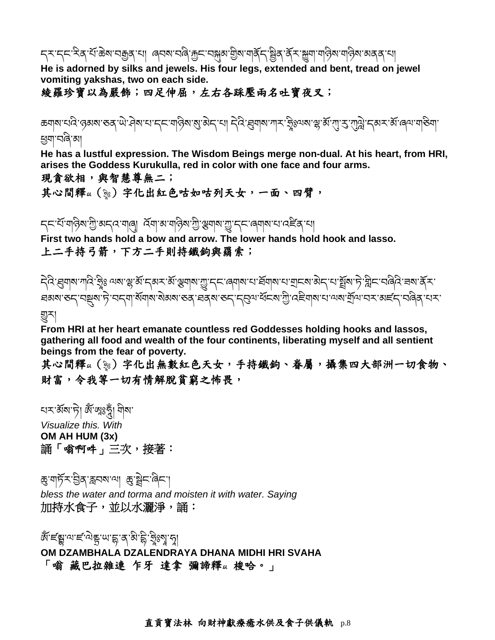## ॸ्ॸॱॸ्ॸॱॸॆऀॺॱধऀॱऄॺॱॻक़ॗॺॱॻऻॱॱॿय़ॺॱॻॿॆॱक़ॗॸॱॻॺॣॺॱॻॖॆॺॱॺऻॺॕॖॸॱऄॗॺॱॷॕऄॱॴऄॺॱॺऄॺॱॻऻ

**He is adorned by silks and jewels. His four legs, extended and bent, tread on jewel vomiting yakshas, two on each side.**

綾羅珍寶以為嚴飾;四足伸屈,左右各踩壓兩名吐寶夜叉;

ಹग|ನ'ಸರಿ' ಇನನು ಅನ್ನ ಗ್ರಾಮ್ಸ್ ಮಾಡಿದ ಮಾಡಿದೆ. ಎಂದು ಸ್ವರ್ಭವಾಗಿ ಸುಮಾರ್ ಸ್ವಿಜ್ಞಾನ್ ಮಾಡಿ, ಮಾಡಿ, ಮಾಡಿಯಾಗಿ ಇಂದು ಸ್ವರ್ಶ ཕྱག་བཞི་མ།

**He has a lustful expression. The Wisdom Beings merge non-dual. At his heart, from HRI, arises the Goddess Kurukulla, red in color with one face and four arms.**

現貪欲相,與智慧尊無二;

其心間釋以(說)字化出紅色咕如咕列天女,一面、四臂,

ॸ्टिन्धॅ महिषागुः अन्दरमालु| दॅमाअमहिषागुः अमर्षायुः न्टालमबाराज्हेड् स्म

**First two hands hold a bow and arrow. The lower hands hold hook and lasso.** 上二手持弓箭,下方二手則持鐵鉤與羂索;

दे दे खुवाब गांदे 'ड्रेंड अब 'झे अॅ 'दबर अॅ अबाब 'ग्रु''द्र प्लवाब य खूबाब य बान् बाद 'य ब्रैंब' हे 'म्रेन पढ़िते चब क्रॅ र ੜਕਾਕਾ ਠਨ੍ਹਾ ਧਝੂਕਾ ਨੇ 'ਧਨ੍ਯਾ ਕੱਯਾਕਾ ਕੇਕਾਕਾ ਠਕ੍ਰਾ ਬਕ੍ਰਕਾ ਠਨ੍ਹਾ ਨ੍ਰਿਆ ਖ਼ੱਟਕਾ ਗੁੇ' ਕਵੇਯਾਕਾ ਧਾ ਆ ਬੱਯਾ ਧਨ 'ਕਵੱਨ੍ਹਾ ਧਰੇਕ 'ਧਨ' གྱུར།

**From HRI at her heart emanate countless red Goddesses holding hooks and lassos, gathering all food and wealth of the four continents, liberating myself and all sentient beings from the fear of poverty.**

其心間釋以(%)字化出無數紅色天女,手持鐵鉤、眷屬,攝集四大部洲一切食物、 財富,令我等一切有情解脫貧窮之怖畏,

খন মঁমা দী জ্ঞানীয় বিখ *Visualize this. With* **OM AH HUM (3x)** 誦「嗡啊吽」三次,接著:

ཆུ་གཏོར་བིན་རླབས་ལ། ཆུ་སྟེང་ཞིང་། *bless the water and torma and moisten it with water. Saying* 加持水食子,並以水灑淨,誦:

ब्राष्ट्र्यायाद्दविष्ट्रालाई अंत्राष्ट्री दुध्यायु।<br>इति स्थानस्य अधिकारी **OM DZAMBHALA DZALENDRAYA DHANA MIDHI HRI SVAHA** 「嗡 藏巴拉雜連 乍牙 達拿 彌諦釋以梭哈。」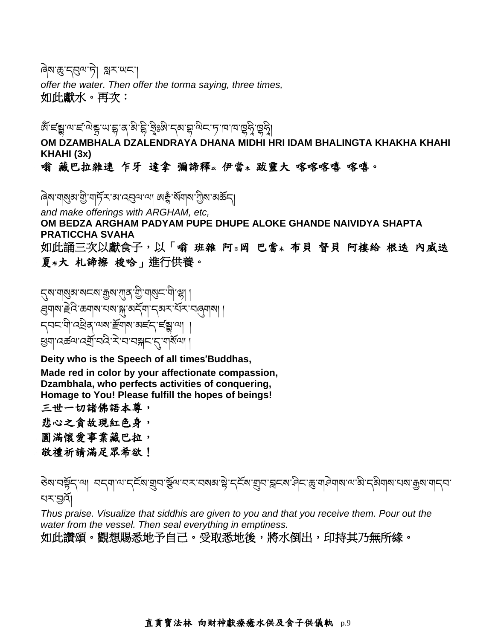ৰ্ষি'ঙ্কু'ন্ন্নুন'দী গ্লুস'ঋন'

*offer the water. Then offer the torma saying, three times,* 如此獻水。再次:

ब्राह्यपादविहणाडू अभिने पुरुषे रेखा के बार के पानि विरुप्ति ।<br>इन्हें ने के साथ के पानि के पानि के पानि के पानि के पानि के पानि के पानि के पानि के पानि के पानि के पानि के पा །

**OM DZAMBHALA DZALENDRAYA DHANA MIDHI HRI IDAM BHALINGTA KHAKHA KHAHI KHAHI (3x)**

#### 嗡 藏巴拉雜連 乍牙 達拿 彌諦釋』伊當\* 跋靈大 喀喀喀嘻 喀嘻。

ৰিম'শাম্ভ্ৰম'শ্ৰী'শাৰ্চ্যস'ম'ন্বেন''না অক্কু'ৰ্মশাম'শ্ৰীম'ৰ্মৰ্ক্তন্

*and make offerings with ARGHAM, etc,* **OM BEDZA ARGHAM PADYAM PUPE DHUPE ALOKE GHANDE NAIVIDYA SHAPTA PRATICCHA SVAHA** 如此誦三次以獻食子,以「嗡 班雜 阿』岡 巴當\* 布貝 督貝 阿樓給 根迭 內威迭 夏布大 札諦擦 梭哈」進行供養。

্নেম'নাৰ্ম্মুঅ'মাৰ্ম্মা দুৰাংসাৰ্মী, নাৰ্মাৰ্ হ্ম্মাঝ'ৰ্দ্ৰবৈ'ক্তমাঝ'খৰু'ৰ্ম'কৰ্বমা'ন্কৰ্ম'ব্ৰম্বাৰ্মা ৷ ন্নেন'মী'নেইৰ 'শেষ' দ্ৰীৰাম' অৰ্লন'ৰ ৼ্যবা'বের্ন্ডন'ব্র্মী'ব্র্মি`র্ম'ব'বার্ম্নাম্পেশা

**Deity who is the Speech of all times**'**Buddhas,**

**Made red in color by your affectionate compassion, Dzambhala, who perfects activities of conquering, Homage to You! Please fulfill the hopes of beings!**

三世一切諸佛語本尊,

悲心之貪故現紅色身,

圓滿懷愛事業藏巴拉,

敬禮祈請滿足眾希欲!

ানা বন্নানান্দিকা য়ুবাস্কুনাব্দাবম্বৰ স্বীন্দিকা য়ুবাস্কুল বিশ্বাস্থিত বিশিষ্টি বিশ্বাস্থিত বিশ্বাস্থিত বিশ པར་བའོ།

*Thus praise. Visualize that siddhis are given to you and that you receive them. Pour out the water from the vessel. Then seal everything in emptiness.*

如此讚頌。觀想賜悉地予自己。受取悉地後,將水倒出,印持其乃無所緣。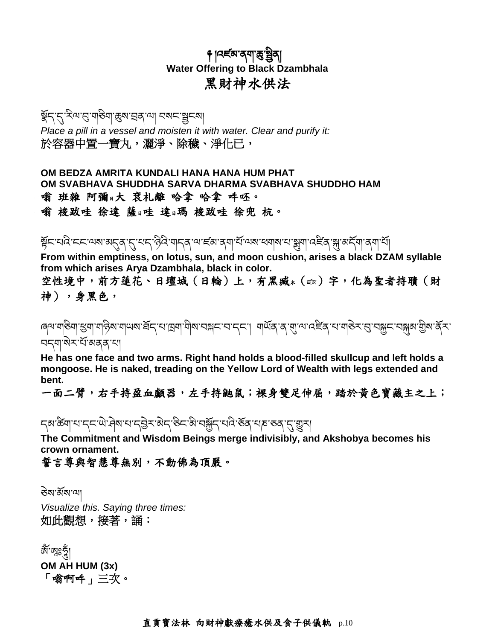#### ༈ །འཛམ་ནག་ཆུ་སིན། **Water Offering to Black Dzambhala** 黑財神水供法

#### ষ্ট্ৰন'ন' <sup>হ</sup>ম্ম'ন্ড'মান্তকা ভ্ৰম'ন্ডৰ'মা বৰু স্থা *Place a pill in a vessel and moisten it with water. Clear and purify it:* 於容器中置一寶丸,灑淨、除穢、淨化已,

**OM BEDZA AMRITA KUNDALI HANA HANA HUM PHAT OM SVABHAVA SHUDDHA SARVA DHARMA SVABHAVA SHUDDHO HAM** 嗡 班雜 阿彌日大 袞札離 哈拿 哈拿 吽呸。 嗡 梭跋哇 徐達 薩日哇 達日瑪 梭跋哇 徐兜 杭。

ষ্ট্ৰনম্বিংননঅম্বন্দ্ৰ্ ন্যম্বাৰ্ণ কৰি আৰক্ষ্ণ আৰক্ষ্ণ কৰি আৰক্ষ্ণ কৰি বিদ্যালয়ৰ বিদ্যালয়ৰ বিদ্যালয়ৰ বিদ্যা

**From within emptiness, on lotus, sun, and moon cushion, arises a black DZAM syllable from which arises Arya Dzambhala, black in color.**

空性境中,前方蓮花、日壇城(日輪)上,有黑臧\*(禹)字,化為聖者持聵(財 神),身黑色,

ৰেশ নাৰ্ভিনা শ্ৰুনা নাৰ্ভিষ নামৰ প্ৰিন আৰু নামৰ নামৰ সমূহ আৰু সমূহ নামৰ নামৰ নামৰ নামৰ নামৰ সমূহ নামৰ সমূহ নাম ব্ৰহ্মা'ৰ্ম্ব'ৰ্ম্মিক্ক'য়ে

**He has one face and two arms. Right hand holds a blood-filled skullcup and left holds a mongoose. He is naked, treading on the Yellow Lord of Wealth with legs extended and bent.**

一面二臂,右手持盈血顱器,左手持鼬鼠;裸身雙足伸屈,踏於黃色寶藏主之上;

ॸॺॱऀॐॺॱॺॱॸॸॱऄॱऄॺॱॺॱॸऄॖॸॱऄॸॱऄॱॺऄॶॸॱॺऄॱॶॕड़ॱॺढ़ॱख़ॸॱड़ॱॖॖ

**The Commitment and Wisdom Beings merge indivisibly, and Akshobya becomes his crown ornament.**

誓言尊與智慧尊無別,不動佛為頂嚴。

ཅྟེས་མོས་ལ།

*Visualize this. Saying three times:* 如此觀想,接著,誦:

ৡাৣ৸ৣৣৣৣৣৣ **OM AH HUM (3x)** 「嗡啊吽」三次。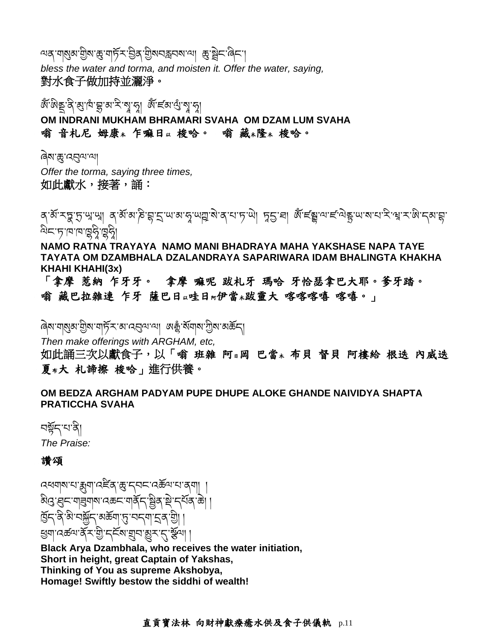ার বার্ম্বার্মাট্টম'ক্সু'বার্চ্রি' শ্রিম'ন্সুমান্সারাজ্য জ্র'ষ্ট্রান'রিন' *bless the water and torma, and moisten it. Offer the water, saying,* 對水食子做加持並灑淨。

নে আৰু প্ৰায় প্ৰাৰম্ভ হৈছিল বিভিন্ন হৈছিল।<br>১৯৯৯ - ১৯৯৯ - ১৯৯৯ - ১৯৯৯ - ১৯৯৯ - ১৯৯৯ **OM INDRANI MUKHAM BHRAMARI SVAHA OM DZAM LUM SVAHA** 嗡 音札尼 姆康 \* 乍嘛日以梭哈。 嗡 藏 \*隆 \* 梭哈。

ৰিম'ক্সু'ব্বেন্ম'ন্<mark>ৰ</mark> *Offer the torma, saying three times,* 如此獻水,接著,誦:

ঽ་མོ་རབྲ་ད་ལུ་ལྲ། ན་མོ་མ་རེ་བྲ་ད་པ་མ་ནུ་ལ་ལྲ་མ་ན་པ་ད་ལེ། ਸ਼ੁ5་བ། མོ་ངོརྲུ་ལ་ང་ལེརུ་ལྲ་ར་ལྲ་ར་སེ་དམ་བྲ་ ড়ৢৗৼৗৼৗ

**NAMO RATNA TRAYAYA NAMO MANI BHADRAYA MAHA YAKSHASE NAPA TAYE TAYATA OM DZAMBHALA DZALANDRAYA SAPARIWARA IDAM BHALINGTA KHAKHA KHAHI KHAHI(3x)**

「拿摩 惹納 乍牙牙。 拿摩 嘛呢 跋札牙 瑪哈 牙恰瑟拿巴大耶。爹牙踏。 嗡 藏巴拉雜連 乍牙 薩巴日以哇日 伊當 跋靈大 喀喀喀嘻 喀嘻。」

ৰিষ'শাৰ্ম্ভৰ'শ্ৰীৰ'শাৰ্চ্যিক'ৰা'ৰ্যৰ্" অক্টু'ৰ্মশাৰা'শ্ৰীৰ'ৰাৰ্কিন্

*Then make offerings with ARGHAM, etc,*

如此誦三次以獻食子,以「嗡 班雜 阿』岡 巴當\* 布貝 督貝 阿樓給 根迭 內威迭 夏 #大 札諦擦 梭哈」進行供養。

**OM BEDZA ARGHAM PADYAM PUPE DHUPE ALOKE GHANDE NAIVIDYA SHAPTA PRATICCHA SVAHA**

নৰ্শ্লুন'ম'ৰ্ন *The Praise:*

#### 讚頌

འཕགས་པ་རྨུག་འཛིན་ཆུ་དབང་འཆོལ་པ་ནག། ། ঌ৾ঀৢॱয়ৢ=ॱग|য়ৢ৽ঢ়ৼ৾৸ড়ৼৼঢ়ড়ৼৼঢ়ৼঀ৻ৼ৸ৼ৻৸৸ হ্রিন'ন্স'মর্স্কান'ঝর্ক্কব্য খ্যা'নেন্দ্রুরা,প্রান্ট্রাম্প্রিরাইমেন্স,প্রান্

**Black Arya Dzambhala, who receives the water initiation, Short in height, great Captain of Yakshas, Thinking of You as supreme Akshobya, Homage! Swiftly bestow the siddhi of wealth!**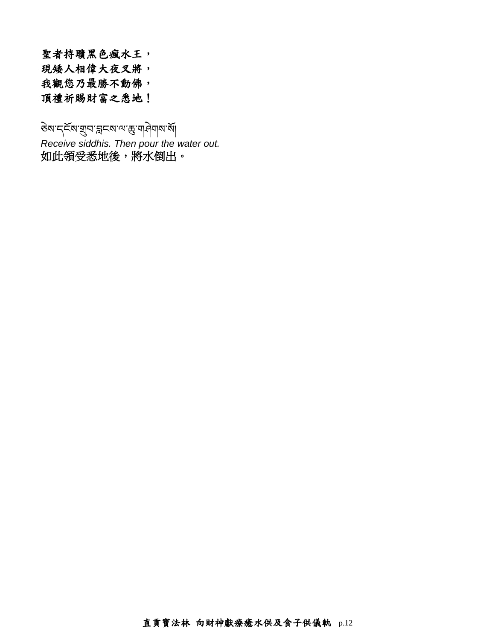聖者持聵黑色瘋水王, 現矮人相偉大夜叉將, 我觀您乃最勝不動佛, 頂禮祈賜財富之悉地!

ङेष'द्दिष'ग्रुव'क्लदश'त्य'कु'ग]नेग|ष'बें|

*Receive siddhis. Then pour the water out.* 如此領受悉地後,將水倒出。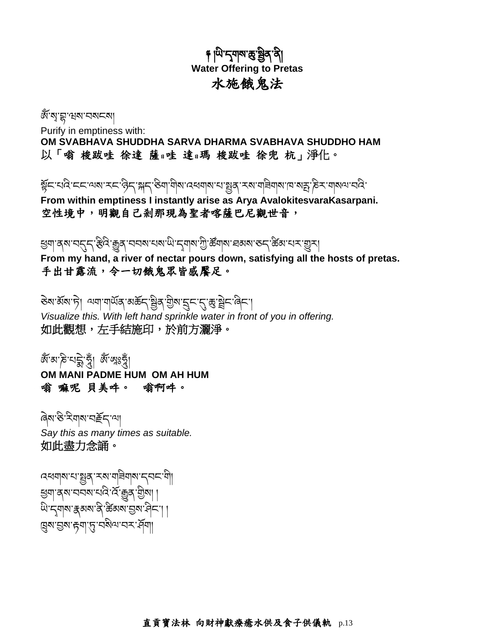# <u>៖</u> ਘਿੰ'ন্মৰাম'ক্ত'ষ্ট্ৰব'ৰী **Water Offering to Pretas** 水施餓鬼法

জ্যেম্মুম্মুখ বৰা

Purify in emptiness with: **OM SVABHAVA SHUDDHA SARVA DHARMA SVABHAVA SHUDDHO HAM** 以「嗡 梭跋哇 徐達 薩日哇 達日瑪 梭跋哇 徐兜 杭」淨化。

སོང་པའ ི་ངང་ལས་རང་ཉ ི ད་སད་ཅ ི ག་ག ི ས་འཕགས་པ་སན་རས་གཟ ི གས་ཁ་སརྤ་ཎ ི ར་གསལ་བའ ི་

**From within emptiness I instantly arise as Arya AvalokitesvaraKasarpani.** 空性境中,明觀自己剎那現為聖者喀薩巴尼觀世音,

খ্যা ব্ৰম নৰ্দ্ন স্টিনি: ক্ট্ৰিব, নিব্ৰম নেমা, নিম্ন মুখ্য স্টি, জুনাৰ, নিম্ন মাৰ্ক, জুমাৰ, দিব, দিব

**From my hand, a river of nectar pours down, satisfying all the hosts of pretas.** 手出甘露流,令一切餓鬼眾皆感饜足。

डेबार्अबान्ने। अयायार्थेव अर्कनाञ्चेव ग्रीबाह्नमानु कुञ्चेन बिना *Visualize this. With left hand sprinkle water in front of you in offering.* 如此觀想,左手結施印,於前方灑淨。

জঁ অ'ক্ট'ঘট্ট' যুঁ| জ্ঞাঃখ্ৰী **OM MANI PADME HUM OM AH HUM** 嗡 嘛呢 貝美吽。 嗡啊吽。

ཞྟེས་ཅི་རིགས་བརོད་ལ། *Say this as many times as suitable.* 如此盡力念誦。

ব্বৰ্মাৰাম্'মাষ্ট্ৰৰ্' কৰা মানীৰ বিদ্যালী খ্ৰশ'ৰ্ম'ননম'নন্দি'ৰ্ম্' ক্ৰুৰ্' শ্ৰীমা | থি'ন্মুনাম'ৰ্ক্সম'ৰ্ক্'ক্টমম'ন্ডম'ৰ্নি'|| ଞ୍ଜେଷ'মুখ'দ্ৰু''বৃত্ৰ'বিখ'ব্দ'ৰ্শী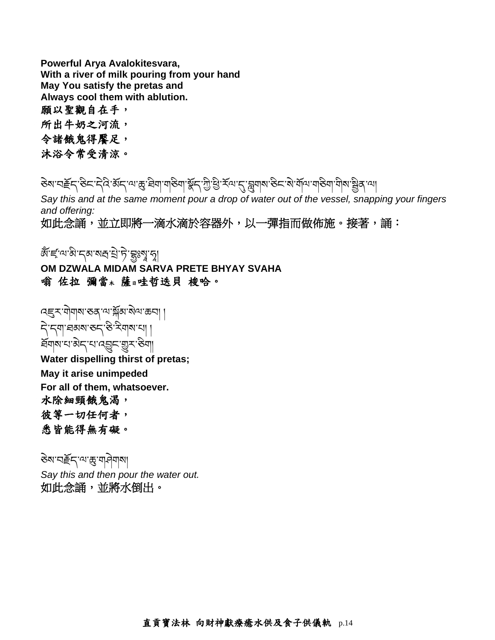**Powerful Arya Avalokitesvara, With a river of milk pouring from your hand May You satisfy the pretas and Always cool them with ablution.** 願以聖觀自在手,

所出牛奶之河流,

令諸餓鬼得饜足,

沐浴令常受清涼。

डेबाद्महेन् स्टेन् नेदे अन्याङ्ग्रेसेवाण्डेवाञ्चेन् अन्तर्भुम् अन्यान् सुवाबारुन् अर्थायायडियाणीबाञ्चेत् या

Say this and at the same moment pour a drop of water out of the vessel, snapping your fingers *and offering:*

如此念誦,並立即將一滴水滴於容器外,以一彈指而做佈施。接著,誦:

জঁ'ৰ্লু'আম্ব'ন বাৰী এই বিজ্ঞান হ'লি<br>জন্ম কৰা বিজ্ঞান কৰা বিজ্ঞান হ'লি

**OM DZWALA MIDAM SARVA PRETE BHYAY SVAHA** 嗡 佐拉 彌當<sup>木</sup> 薩日哇哲迭貝 梭哈。

হেন্দ্ৰায়াৰাস্তব্য শ্ৰমীসক্ষাৰাস্থা དྟེ་དག་ཐམས་ཅད་ཅི་རིགས་པ། ། হিনাম'থ'ঝ্ব'খ'ন্ড্ৰ্ছ'স্ত্ৰা **Water dispelling thirst of pretas; May it arise unimpeded For all of them, whatsoever.** 水除細頸餓鬼渴, 彼等一切任何者, 悉皆能得無有礙。

ཅྟེས་བརོད་ལ་ཆུ་གཤྟེགས། *Say this and then pour the water out.* 如此念誦,並將水倒出。